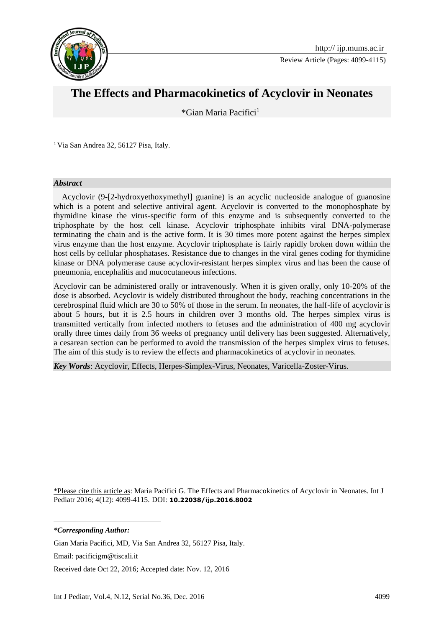

Review Article (Pages: 4099-4115)

# **The Effects and Pharmacokinetics of Acyclovir in Neonates**

\*Gian Maria Pacifici<sup>1</sup>**<sup>1</sup>**

<sup>1</sup> Via San Andrea 32, 56127 Pisa, Italy.

#### *Abstract*

 Acyclovir (9-[2-hydroxyethoxymethyl] guanine) is an acyclic nucleoside analogue of guanosine which is a potent and selective antiviral agent. Acyclovir is converted to the monophosphate by thymidine kinase the virus-specific form of this enzyme and is subsequently converted to the triphosphate by the host cell kinase. Acyclovir triphosphate inhibits viral DNA-polymerase terminating the chain and is the active form. It is 30 times more potent against the herpes simplex virus enzyme than the host enzyme. Acyclovir triphosphate is fairly rapidly broken down within the host cells by cellular phosphatases. Resistance due to changes in the viral genes coding for thymidine kinase or DNA polymerase cause acyclovir-resistant herpes simplex virus and has been the cause of pneumonia, encephalitis and mucocutaneous infections.

Acyclovir can be administered orally or intravenously. When it is given orally, only 10-20% of the dose is absorbed. Acyclovir is widely distributed throughout the body, reaching concentrations in the cerebrospinal fluid which are 30 to 50% of those in the serum. In neonates, the half-life of acyclovir is about 5 hours, but it is 2.5 hours in children over 3 months old. The herpes simplex virus is transmitted vertically from infected mothers to fetuses and the administration of 400 mg acyclovir orally three times daily from 36 weeks of pregnancy until delivery has been suggested. Alternatively, a cesarean section can be performed to avoid the transmission of the herpes simplex virus to fetuses. The aim of this study is to review the effects and pharmacokinetics of acyclovir in neonates.

*Key Words*: Acyclovir, Effects, Herpes-Simplex-Virus, Neonates, Varicella-Zoster-Virus.

\*Please cite this article as: Maria Pacifici G. The Effects and Pharmacokinetics of Acyclovir in Neonates. Int J Pediatr 2016; 4(12): 4099-4115. DOI: **10.22038/ijp.2016.8002**

*\*Corresponding Author:*

**.** 

Gian Maria Pacifici, MD, Via San Andrea 32, 56127 Pisa, Italy.

Email: pacificigm@tiscali.it

Received date Oct 22, 2016; Accepted date: Nov. 12, 2016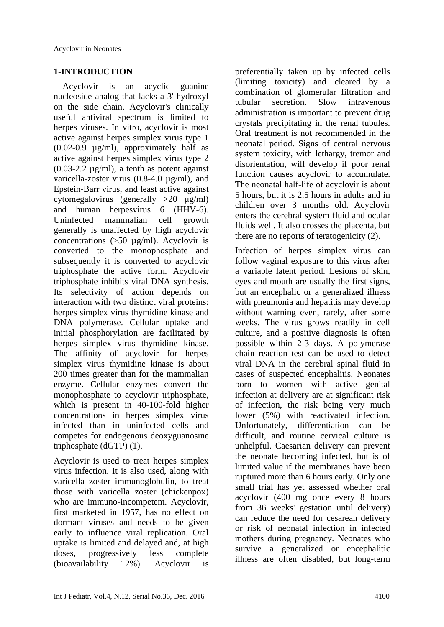#### **1-INTRODUCTION**

 Acyclovir is an acyclic guanine nucleoside analog that lacks a 3'-hydroxyl on the side chain. Acyclovir's clinically useful antiviral spectrum is limited to herpes viruses. In vitro, acyclovir is most active against herpes simplex virus type 1 (0.02-0.9 µg/ml), approximately half as active against herpes simplex virus type 2 (0.03-2.2 µg/ml), a tenth as potent against varicella-zoster virus (0.8-4.0 µg/ml), and Epstein-Barr virus, and least active against cytomegalovirus (generally >20 µg/ml) and human herpesvirus 6 (HHV-6). Uninfected mammalian cell growth generally is unaffected by high acyclovir concentrations (>50 µg/ml). Acyclovir is converted to the monophosphate and subsequently it is converted to acyclovir triphosphate the active form. Acyclovir triphosphate inhibits viral DNA synthesis. Its selectivity of action depends on interaction with two distinct viral proteins: herpes simplex virus thymidine kinase and DNA polymerase. Cellular uptake and initial phosphorylation are facilitated by herpes simplex virus thymidine kinase. The affinity of acyclovir for herpes simplex virus thymidine kinase is about 200 times greater than for the mammalian enzyme. Cellular enzymes convert the monophosphate to acyclovir triphosphate, which is present in 40-100-fold higher concentrations in herpes simplex virus infected than in uninfected cells and competes for endogenous deoxyguanosine triphosphate (dGTP) (1).

Acyclovir is used to treat herpes simplex virus infection. It is also used, along with varicella zoster immunoglobulin, to treat those with varicella zoster (chickenpox) who are immuno-incompetent. Acyclovir, first marketed in 1957, has no effect on dormant viruses and needs to be given early to influence viral replication. Oral uptake is limited and delayed and, at high doses, progressively less complete (bioavailability 12%). Acyclovir is

preferentially taken up by infected cells (limiting toxicity) and cleared by a combination of glomerular filtration and tubular secretion. Slow intravenous administration is important to prevent drug crystals precipitating in the renal tubules. Oral treatment is not recommended in the neonatal period. Signs of central nervous system toxicity, with lethargy, tremor and disorientation, will develop if poor renal function causes acyclovir to accumulate. The neonatal half-life of acyclovir is about 5 hours, but it is 2.5 hours in adults and in children over 3 months old. Acyclovir enters the cerebral system fluid and ocular fluids well. It also crosses the placenta, but there are no reports of teratogenicity (2).

Infection of herpes simplex virus can follow vaginal exposure to this virus after a variable latent period. Lesions of skin, eyes and mouth are usually the first signs, but an encephalic or a generalized illness with pneumonia and hepatitis may develop without warning even, rarely, after some weeks. The virus grows readily in cell culture, and a positive diagnosis is often possible within 2-3 days. A polymerase chain reaction test can be used to detect viral DNA in the cerebral spinal fluid in cases of suspected encephalitis. Neonates born to women with active genital infection at delivery are at significant risk of infection, the risk being very much lower (5%) with reactivated infection. Unfortunately, differentiation can be difficult, and routine cervical culture is unhelpful. Caesarian delivery can prevent the neonate becoming infected, but is of limited value if the membranes have been ruptured more than 6 hours early. Only one small trial has yet assessed whether oral acyclovir (400 mg once every 8 hours from 36 weeks' gestation until delivery) can reduce the need for cesarean delivery or risk of neonatal infection in infected mothers during pregnancy. Neonates who survive a generalized or encephalitic illness are often disabled, but long-term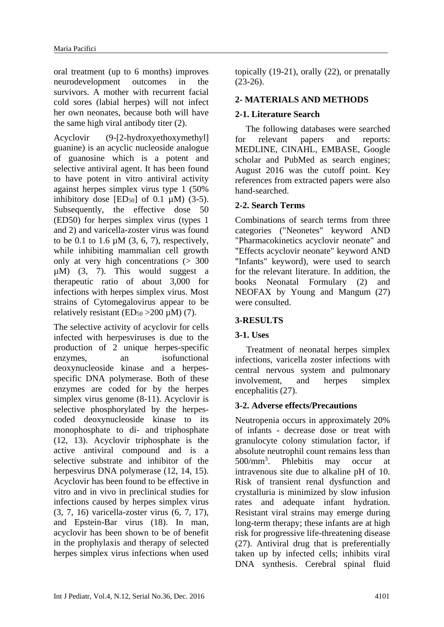oral treatment (up to 6 months) improves neurodevelopment outcomes in the survivors. A mother with recurrent facial cold sores (labial herpes) will not infect her own neonates, because both will have the same high viral antibody titer (2).

Acyclovir (9-[2-hydroxyethoxymethyl] guanine) is an acyclic nucleoside analogue of guanosine which is a potent and selective antiviral agent. It has been found to have potent in vitro antiviral activity against herpes simplex virus type 1 (50% inhibitory dose  $[ED<sub>50</sub>]$  of 0.1  $\mu$ M) (3-5). Subsequently, the effective dose 50 (ED50) for herpes simplex virus (types 1 and 2) and varicella-zoster virus was found to be 0.1 to 1.6  $\mu$ M (3, 6, 7), respectively, while inhibiting mammalian cell growth only at very high concentrations (> 300  $\mu$ M) (3, 7). This would suggest a therapeutic ratio of about 3,000 for infections with herpes simplex virus. Most strains of Cytomegalovirus appear to be relatively resistant (ED $_{50}$  >200  $\mu$ M) (7).

The selective activity of acyclovir for cells infected with herpesviruses is due to the production of 2 unique herpes-specific enzymes, an isofunctional deoxynucleoside kinase and a herpesspecific DNA polymerase. Both of these enzymes are coded for by the herpes simplex virus genome (8-11). Acyclovir is selective phosphorylated by the herpescoded deoxynucleoside kinase to its monophosphate to di- and triphosphate (12, 13). Acyclovir triphosphate is the active antiviral compound and is a selective substrate and inhibitor of the herpesvirus DNA polymerase (12, 14, 15). Acyclovir has been found to be effective in vitro and in vivo in preclinical studies for infections caused by herpes simplex virus (3, 7, 16) varicella-zoster virus (6, 7, 17), and Epstein-Bar virus (18). In man, acyclovir has been shown to be of benefit in the prophylaxis and therapy of selected herpes simplex virus infections when used

topically (19-21), orally (22), or prenatally (23-26).

# **2- MATERIALS AND METHODS**

## **2-1. Literature Search**

The following databases were searched for relevant papers and reports: MEDLINE, CINAHL, EMBASE, Google scholar and PubMed as search engines; August 2016 was the cutoff point. Key references from extracted papers were also hand-searched.

## **2-2. Search Terms**

Combinations of search terms from three categories ("Neonetes" keyword AND "Pharmacokinetics acyclovir neonate" and "Effects acyclovir neonate" keyword AND "Infants" keyword), were used to search for the relevant literature. In addition, the books Neonatal Formulary (2) and NEOFAX by Young and Mangum (27) were consulted.

# **3-RESULTS**

## **3-1. Uses**

 Treatment of neonatal herpes simplex infections, varicella zoster infections with central nervous system and pulmonary involvement, and herpes simplex encephalitis (27).

## **3-2. Adverse effects/Precautions**

Neutropenia occurs in approximately 20% of infants - decrease dose or treat with granulocyte colony stimulation factor, if absolute neutrophil count remains less than  $500/mm^3$ . . Phlebitis may occur at intravenous site due to alkaline pH of 10. Risk of transient renal dysfunction and crystalluria is minimized by slow infusion rates and adequate infant hydration. Resistant viral strains may emerge during long-term therapy; these infants are at high risk for progressive life-threatening disease (27). Antiviral drug that is preferentially taken up by infected cells; inhibits viral DNA synthesis. Cerebral spinal fluid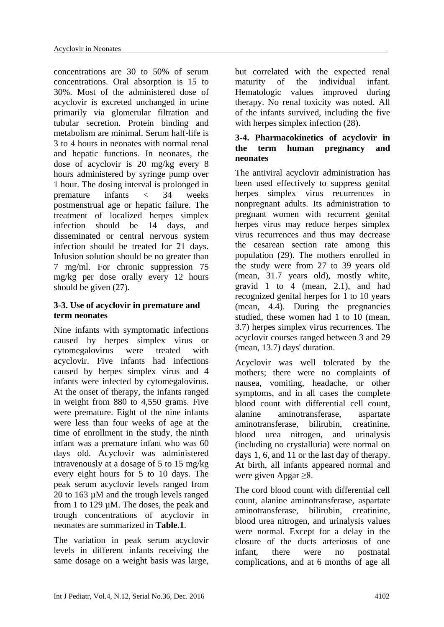concentrations are 30 to 50% of serum concentrations. Oral absorption is 15 to 30%. Most of the administered dose of acyclovir is excreted unchanged in urine primarily via glomerular filtration and tubular secretion. Protein binding and metabolism are minimal. Serum half-life is 3 to 4 hours in neonates with normal renal and hepatic functions. In neonates, the dose of acyclovir is 20 mg/kg every 8 hours administered by syringe pump over 1 hour. The dosing interval is prolonged in premature infants < 34 weeks postmenstrual age or hepatic failure. The treatment of localized herpes simplex infection should be 14 days, and disseminated or central nervous system infection should be treated for 21 days. Infusion solution should be no greater than 7 mg/ml. For chronic suppression 75 mg/kg per dose orally every 12 hours should be given (27).

## **3-3. Use of acyclovir in premature and term neonates**

Nine infants with symptomatic infections caused by herpes simplex virus or cytomegalovirus were treated with acyclovir. Five infants had infections caused by herpes simplex virus and 4 infants were infected by cytomegalovirus. At the onset of therapy, the infants ranged in weight from 880 to 4,550 grams. Five were premature. Eight of the nine infants were less than four weeks of age at the time of enrollment in the study, the ninth infant was a premature infant who was 60 days old. Acyclovir was administered intravenously at a dosage of 5 to 15 mg/kg every eight hours for 5 to 10 days. The peak serum acyclovir levels ranged from 20 to 163 µM and the trough levels ranged from 1 to 129 µM. The doses, the peak and trough concentrations of acyclovir in neonates are summarized in **Table.1**.

The variation in peak serum acyclovir levels in different infants receiving the same dosage on a weight basis was large,

but correlated with the expected renal maturity of the individual infant. Hematologic values improved during therapy. No renal toxicity was noted. All of the infants survived, including the five with herpes simplex infection (28).

## **3-4. Pharmacokinetics of acyclovir in the term human pregnancy and neonates**

The antiviral acyclovir administration has been used effectively to suppress genital herpes simplex virus recurrences in nonpregnant adults. Its administration to pregnant women with recurrent genital herpes virus may reduce herpes simplex virus recurrences and thus may decrease the cesarean section rate among this population (29). The mothers enrolled in the study were from 27 to 39 years old (mean, 31.7 years old), mostly white, gravid 1 to 4 (mean, 2.1), and had recognized genital herpes for 1 to 10 years (mean, 4.4). During the pregnancies studied, these women had 1 to 10 (mean, 3.7) herpes simplex virus recurrences. The acyclovir courses ranged between 3 and 29 (mean, 13.7) days' duration.

Acyclovir was well tolerated by the mothers; there were no complaints of nausea, vomiting, headache, or other symptoms, and in all cases the complete blood count with differential cell count, alanine aminotransferase, aspartate aminotransferase, bilirubin, creatinine, blood urea nitrogen, and urinalysis (including no crystalluria) were normal on days 1, 6, and 11 or the last day of therapy. At birth, all infants appeared normal and were given Apgar ≥8.

The cord blood count with differential cell count, alanine aminotransferase, aspartate aminotransferase, bilirubin, creatinine, blood urea nitrogen, and urinalysis values were normal. Except for a delay in the closure of the ducts arteriosus of one infant, there were no postnatal complications, and at 6 months of age all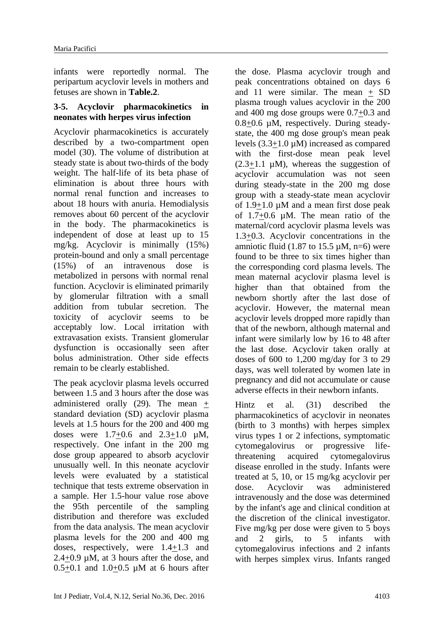infants were reportedly normal. The peripartum acyclovir levels in mothers and fetuses are shown in **Table.2**.

#### **3-5. Acyclovir pharmacokinetics in neonates with herpes virus infection**

Acyclovir pharmacokinetics is accurately described by a two-compartment open model (30). The volume of distribution at steady state is about two-thirds of the body weight. The half-life of its beta phase of elimination is about three hours with normal renal function and increases to about 18 hours with anuria. Hemodialysis removes about 60 percent of the acyclovir in the body. The pharmacokinetics is independent of dose at least up to 15 mg/kg. Acyclovir is minimally (15%) protein-bound and only a small percentage (15%) of an intravenous dose is metabolized in persons with normal renal function. Acyclovir is eliminated primarily by glomerular filtration with a small addition from tubular secretion. The toxicity of acyclovir seems to be acceptably low. Local irritation with extravasation exists. Transient glomerular dysfunction is occasionally seen after bolus administration. Other side effects remain to be clearly established.

The peak acyclovir plasma levels occurred between 1.5 and 3 hours after the dose was administered orally  $(29)$ . The mean + standard deviation (SD) acyclovir plasma levels at 1.5 hours for the 200 and 400 mg doses were  $1.7+0.6$  and  $2.3+1.0$   $\mu$ M, respectively. One infant in the 200 mg dose group appeared to absorb acyclovir unusually well. In this neonate acyclovir levels were evaluated by a statistical technique that tests extreme observation in a sample. Her 1.5-hour value rose above the 95th percentile of the sampling distribution and therefore was excluded from the data analysis. The mean acyclovir plasma levels for the 200 and 400 mg doses, respectively, were 1.4+1.3 and 2.4+0.9 µM, at 3 hours after the dose, and  $0.5+0.1$  and  $1.0+0.5$  µM at 6 hours after

the dose. Plasma acyclovir trough and peak concentrations obtained on days 6 and 11 were similar. The mean  $+$  SD plasma trough values acyclovir in the 200 and 400 mg dose groups were 0.7+0.3 and 0.8+0.6 µM, respectively. During steadystate, the 400 mg dose group's mean peak levels (3.3+1.0 µM) increased as compared with the first-dose mean peak level  $(2.3+1.1 \mu M)$ , whereas the suggestion of acyclovir accumulation was not seen during steady-state in the 200 mg dose group with a steady-state mean acyclovir of  $1.9+1.0 \mu M$  and a mean first dose peak of  $1.7+0.6$   $\mu$ M. The mean ratio of the maternal/cord acyclovir plasma levels was 1.3+0.3. Acyclovir concentrations in the amniotic fluid  $(1.87 \text{ to } 15.5 \text{ uM}, \text{ n=6})$  were found to be three to six times higher than the corresponding cord plasma levels. The mean maternal acyclovir plasma level is higher than that obtained from the newborn shortly after the last dose of acyclovir. However, the maternal mean acyclovir levels dropped more rapidly than that of the newborn, although maternal and infant were similarly low by 16 to 48 after the last dose. Acyclovir taken orally at doses of 600 to 1,200 mg/day for 3 to 29 days, was well tolerated by women late in pregnancy and did not accumulate or cause adverse effects in their newborn infants.

Hintz et al. (31) described the pharmacokinetics of acyclovir in neonates (birth to 3 months) with herpes simplex virus types 1 or 2 infections, symptomatic cytomegalovirus or progressive lifethreatening acquired cytomegalovirus disease enrolled in the study. Infants were treated at 5, 10, or 15 mg/kg acyclovir per dose. Acyclovir was administered intravenously and the dose was determined by the infant's age and clinical condition at the discretion of the clinical investigator. Five mg/kg per dose were given to 5 boys and 2 girls, to 5 infants with cytomegalovirus infections and 2 infants with herpes simplex virus. Infants ranged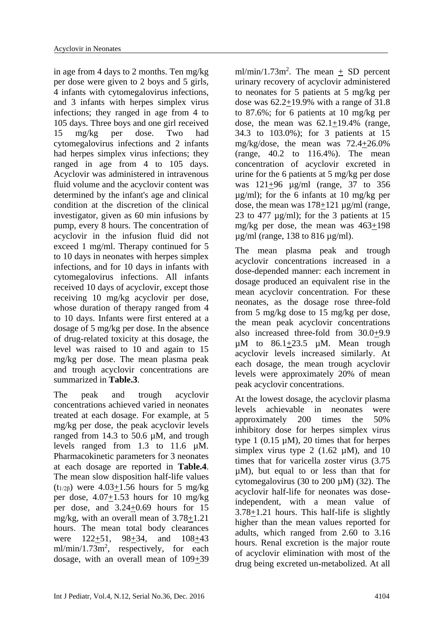in age from 4 days to 2 months. Ten mg/kg per dose were given to 2 boys and 5 girls, 4 infants with cytomegalovirus infections, and 3 infants with herpes simplex virus infections; they ranged in age from 4 to 105 days. Three boys and one girl received 15 mg/kg per dose. Two had cytomegalovirus infections and 2 infants had herpes simplex virus infections; they ranged in age from 4 to 105 days. Acyclovir was administered in intravenous fluid volume and the acyclovir content was determined by the infant's age and clinical condition at the discretion of the clinical investigator, given as 60 min infusions by pump, every 8 hours. The concentration of acyclovir in the infusion fluid did not exceed 1 mg/ml. Therapy continued for 5 to 10 days in neonates with herpes simplex infections, and for 10 days in infants with cytomegalovirus infections. All infants received 10 days of acyclovir, except those receiving 10 mg/kg acyclovir per dose, whose duration of therapy ranged from 4 to 10 days. Infants were first entered at a dosage of 5 mg/kg per dose. In the absence of drug-related toxicity at this dosage, the level was raised to 10 and again to 15 mg/kg per dose. The mean plasma peak and trough acyclovir concentrations are summarized in **Table.3**.

The peak and trough acyclovir concentrations achieved varied in neonates treated at each dosage. For example, at 5 mg/kg per dose, the peak acyclovir levels ranged from 14.3 to 50.6 µM, and trough levels ranged from 1.3 to 11.6 µM. Pharmacokinetic parameters for 3 neonates at each dosage are reported in **Table.4**. The mean slow disposition half-life values (t<sub>1/2β</sub>) were 4.03+1.56 hours for 5 mg/kg per dose, 4.07+1.53 hours for 10 mg/kg per dose, and 3.24+0.69 hours for 15 mg/kg, with an overall mean of 3.78+1.21 hours. The mean total body clearances were 122+51, 98+34, and 108+43 ml/min/1.73m<sup>2</sup>, respectively, for each dosage, with an overall mean of 109+39

ml/min/1.73m<sup>2</sup>. The mean  $\pm$  SD percent urinary recovery of acyclovir administered to neonates for 5 patients at 5 mg/kg per dose was  $62.2+19.9\%$  with a range of 31.8 to 87.6%; for 6 patients at 10 mg/kg per dose, the mean was  $62.1+19.4\%$  (range, 34.3 to 103.0%); for 3 patients at 15 mg/kg/dose, the mean was 72.4+26.0% (range, 40.2 to 116.4%). The mean concentration of acyclovir excreted in urine for the 6 patients at 5 mg/kg per dose was 121+96 µg/ml (range, 37 to 356 µg/ml); for the 6 infants at 10 mg/kg per dose, the mean was 178+121 µg/ml (range, 23 to 477  $\mu$ g/ml); for the 3 patients at 15 mg/kg per dose, the mean was 463+198  $\mu$ g/ml (range, 138 to 816  $\mu$ g/ml).

The mean plasma peak and trough acyclovir concentrations increased in a dose-depended manner: each increment in dosage produced an equivalent rise in the mean acyclovir concentration. For these neonates, as the dosage rose three-fold from 5 mg/kg dose to 15 mg/kg per dose, the mean peak acyclovir concentrations also increased three-fold from 30.0+9.9  $\mu$ M to 86.1 $\pm$ 23.5  $\mu$ M. Mean trough acyclovir levels increased similarly. At each dosage, the mean trough acyclovir levels were approximately 20% of mean peak acyclovir concentrations.

At the lowest dosage, the acyclovir plasma levels achievable in neonates were approximately 200 times the 50% inhibitory dose for herpes simplex virus type  $1$  (0.15  $\mu$ M), 20 times that for herpes simplex virus type 2 (1.62  $\mu$ M), and 10 times that for varicella zoster virus (3.75 µM), but equal to or less than that for cytomegalovirus (30 to 200  $\mu$ M) (32). The acyclovir half-life for neonates was doseindependent, with a mean value of 3.78+1.21 hours. This half-life is slightly higher than the mean values reported for adults, which ranged from 2.60 to 3.16 hours. Renal excretion is the major route of acyclovir elimination with most of the drug being excreted un-metabolized. At all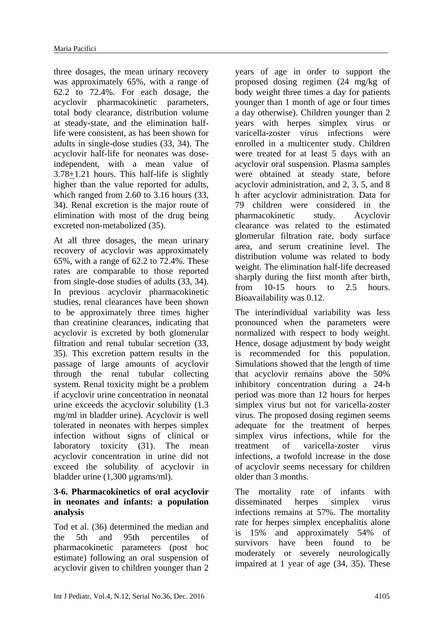three dosages, the mean urinary recovery was approximately 65%, with a range of 62.2 to 72.4%. For each dosage, the acyclovir pharmacokinetic parameters, total body clearance, distribution volume at steady-state, and the elimination halflife were consistent, as has been shown for adults in single-dose studies (33, 34). The acyclovir half-life for neonates was doseindependent, with a mean value of 3.78+1.21 hours. This half-life is slightly higher than the value reported for adults, which ranged from 2.60 to 3.16 hours (33, 34). Renal excretion is the major route of elimination with most of the drug being excreted non-metabolized (35).

At all three dosages, the mean urinary recovery of acyclovir was approximately 65%, with a range of 62.2 to 72.4%. These rates are comparable to those reported from single-dose studies of adults (33, 34). In previous acyclovir pharmacokinetic studies, renal clearances have been shown to be approximately three times higher than creatinine clearances, indicating that acyclovir is excreted by both glomerular filtration and renal tubular secretion (33, 35). This excretion pattern results in the passage of large amounts of acyclovir through the renal tubular collecting system. Renal toxicity might be a problem if acyclovir urine concentration in neonatal urine exceeds the acyclovir solubility (1.3 mg/ml in bladder urine). Acyclovir is well tolerated in neonates with herpes simplex infection without signs of clinical or laboratory toxicity (31). The mean acyclovir concentration in urine did not exceed the solubility of acyclovir in bladder urine (1,300 µgrams/ml).

#### **3-6. Pharmacokinetics of oral acyclovir in neonates and infants: a population analysis**

Tod et al. (36) determined the median and the 5th and 95th percentiles of pharmacokinetic parameters (post hoc estimate) following an oral suspension of acyclovir given to children younger than 2

years of age in order to support the proposed dosing regimen (24 mg/kg of body weight three times a day for patients younger than 1 month of age or four times a day otherwise). Children younger than 2 years with herpes simplex virus or varicella-zoster virus infections were enrolled in a multicenter study. Children were treated for at least 5 days with an acyclovir oral suspension. Plasma samples were obtained at steady state, before acyclovir administration, and 2, 3, 5, and 8 h after acyclovir administration. Data for 79 children were considered in the pharmacokinetic study. Acyclovir clearance was related to the estimated glomerular filtration rate, body surface area, and serum creatinine level. The distribution volume was related to body weight. The elimination half-life decreased sharply during the first month after birth, from 10-15 hours to 2.5 hours. Bioavailability was 0.12.

The interindividual variability was less pronounced when the parameters were normalized with respect to body weight. Hence, dosage adjustment by body weight is recommended for this population. Simulations showed that the length of time that acyclovir remains above the 50% inhibitory concentration during a 24-h period was more than 12 hours for herpes simplex virus but not for varicella-zoster virus. The proposed dosing regimen seems adequate for the treatment of herpes simplex virus infections, while for the treatment of varicella-zoster virus infections, a twofold increase in the dose of acyclovir seems necessary for children older than 3 months.

The mortality rate of infants with disseminated herpes simplex virus infections remains at 57%. The mortality rate for herpes simplex encephalitis alone is 15% and approximately 54% of survivors have been found to be moderately or severely neurologically impaired at 1 year of age (34, 35). These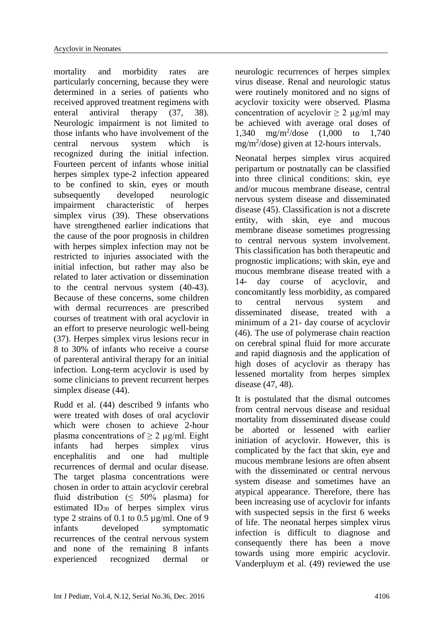mortality and morbidity rates are particularly concerning, because they were determined in a series of patients who received approved treatment regimens with enteral antiviral therapy (37, 38). Neurologic impairment is not limited to those infants who have involvement of the central nervous system which is recognized during the initial infection. Fourteen percent of infants whose initial herpes simplex type-2 infection appeared to be confined to skin, eyes or mouth subsequently developed neurologic impairment characteristic of herpes simplex virus (39). These observations have strengthened earlier indications that the cause of the poor prognosis in children with herpes simplex infection may not be restricted to injuries associated with the initial infection, but rather may also be related to later activation or dissemination to the central nervous system (40-43). Because of these concerns, some children with dermal recurrences are prescribed courses of treatment with oral acyclovir in an effort to preserve neurologic well-being (37). Herpes simplex virus lesions recur in 8 to 30% of infants who receive a course of parenteral antiviral therapy for an initial infection. Long-term acyclovir is used by some clinicians to prevent recurrent herpes simplex disease (44).

Rudd et al. (44) described 9 infants who were treated with doses of oral acyclovir which were chosen to achieve 2-hour plasma concentrations of  $\geq 2$  µg/ml. Eight infants had herpes simplex virus encephalitis and one had multiple recurrences of dermal and ocular disease. The target plasma concentrations were chosen in order to attain acyclovir cerebral fluid distribution ( $\leq 50\%$  plasma) for estimated ID<sup>30</sup> of herpes simplex virus type 2 strains of 0.1 to 0.5 µg/ml. One of 9 infants developed symptomatic recurrences of the central nervous system and none of the remaining 8 infants experienced recognized dermal or neurologic recurrences of herpes simplex virus disease. Renal and neurologic status were routinely monitored and no signs of acyclovir toxicity were observed. Plasma concentration of acyclovir  $> 2 \mu$ g/ml may be achieved with average oral doses of 1,340 mg/m<sup>2</sup> /dose (1,000 to 1,740 mg/m<sup>2</sup>/dose) given at 12-hours intervals.

Neonatal herpes simplex virus acquired peripartum or postnatally can be classified into three clinical conditions: skin, eye and/or mucous membrane disease, central nervous system disease and disseminated disease (45). Classification is not a discrete entity, with skin, eye and mucous membrane disease sometimes progressing to central nervous system involvement. This classification has both therapeutic and prognostic implications; with skin, eye and mucous membrane disease treated with a 14- day course of acyclovir, and concomitantly less morbidity, as compared to central nervous system and disseminated disease, treated with a minimum of a 21- day course of acyclovir (46). The use of polymerase chain reaction on cerebral spinal fluid for more accurate and rapid diagnosis and the application of high doses of acyclovir as therapy has lessened mortality from herpes simplex disease (47, 48).

It is postulated that the dismal outcomes from central nervous disease and residual mortality from disseminated disease could be aborted or lessened with earlier initiation of acyclovir. However, this is complicated by the fact that skin, eye and mucous membrane lesions are often absent with the disseminated or central nervous system disease and sometimes have an atypical appearance. Therefore, there has been increasing use of acyclovir for infants with suspected sepsis in the first 6 weeks of life. The neonatal herpes simplex virus infection is difficult to diagnose and consequently there has been a move towards using more empiric acyclovir. Vanderpluym et al. (49) reviewed the use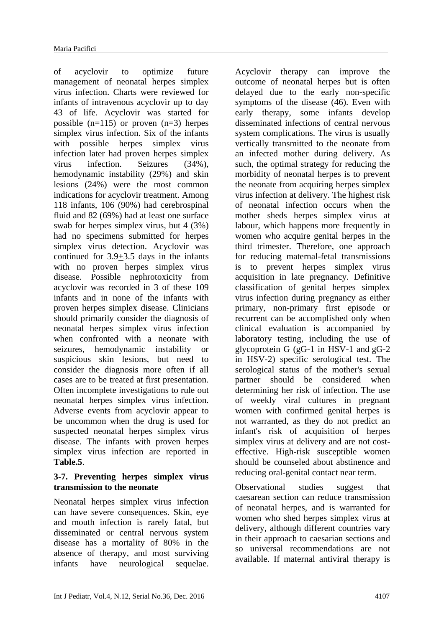of acyclovir to optimize future management of neonatal herpes simplex virus infection. Charts were reviewed for infants of intravenous acyclovir up to day 43 of life. Acyclovir was started for possible  $(n=115)$  or proven  $(n=3)$  herpes simplex virus infection. Six of the infants with possible herpes simplex virus infection later had proven herpes simplex virus infection. Seizures (34%), hemodynamic instability (29%) and skin lesions (24%) were the most common indications for acyclovir treatment. Among 118 infants, 106 (90%) had cerebrospinal fluid and 82 (69%) had at least one surface swab for herpes simplex virus, but 4 (3%) had no specimens submitted for herpes simplex virus detection. Acyclovir was continued for 3.9+3.5 days in the infants with no proven herpes simplex virus disease. Possible nephrotoxicity from acyclovir was recorded in 3 of these 109 infants and in none of the infants with proven herpes simplex disease. Clinicians should primarily consider the diagnosis of neonatal herpes simplex virus infection when confronted with a neonate with seizures, hemodynamic instability or suspicious skin lesions, but need to consider the diagnosis more often if all cases are to be treated at first presentation. Often incomplete investigations to rule out neonatal herpes simplex virus infection. Adverse events from acyclovir appear to be uncommon when the drug is used for suspected neonatal herpes simplex virus disease. The infants with proven herpes simplex virus infection are reported in **Table.5**.

## **3-7. Preventing herpes simplex virus transmission to the neonate**

Neonatal herpes simplex virus infection can have severe consequences. Skin, eye and mouth infection is rarely fatal, but disseminated or central nervous system disease has a mortality of 80% in the absence of therapy, and most surviving infants have neurological sequelae.

Acyclovir therapy can improve the outcome of neonatal herpes but is often delayed due to the early non-specific symptoms of the disease (46). Even with early therapy, some infants develop disseminated infections of central nervous system complications. The virus is usually vertically transmitted to the neonate from an infected mother during delivery. As such, the optimal strategy for reducing the morbidity of neonatal herpes is to prevent the neonate from acquiring herpes simplex virus infection at delivery. The highest risk of neonatal infection occurs when the mother sheds herpes simplex virus at labour, which happens more frequently in women who acquire genital herpes in the third trimester. Therefore, one approach for reducing maternal-fetal transmissions is to prevent herpes simplex virus acquisition in late pregnancy. Definitive classification of genital herpes simplex virus infection during pregnancy as either primary, non-primary first episode or recurrent can be accomplished only when clinical evaluation is accompanied by laboratory testing, including the use of glycoprotein G (gG-1 in HSV-1 and gG-2 in HSV-2) specific serological test. The serological status of the mother's sexual partner should be considered when determining her risk of infection. The use of weekly viral cultures in pregnant women with confirmed genital herpes is not warranted, as they do not predict an infant's risk of acquisition of herpes simplex virus at delivery and are not costeffective. High-risk susceptible women should be counseled about abstinence and reducing oral-genital contact near term.

Observational studies suggest that caesarean section can reduce transmission of neonatal herpes, and is warranted for women who shed herpes simplex virus at delivery, although different countries vary in their approach to caesarian sections and so universal recommendations are not available. If maternal antiviral therapy is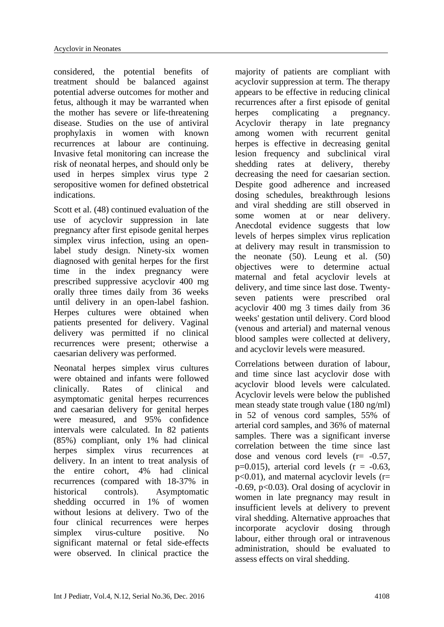considered, the potential benefits of treatment should be balanced against potential adverse outcomes for mother and fetus, although it may be warranted when the mother has severe or life-threatening disease. Studies on the use of antiviral prophylaxis in women with known recurrences at labour are continuing. Invasive fetal monitoring can increase the risk of neonatal herpes, and should only be used in herpes simplex virus type 2 seropositive women for defined obstetrical indications.

Scott et al. (48) continued evaluation of the use of acyclovir suppression in late pregnancy after first episode genital herpes simplex virus infection, using an openlabel study design. Ninety-six women diagnosed with genital herpes for the first time in the index pregnancy were prescribed suppressive acyclovir 400 mg orally three times daily from 36 weeks until delivery in an open-label fashion. Herpes cultures were obtained when patients presented for delivery. Vaginal delivery was permitted if no clinical recurrences were present; otherwise a caesarian delivery was performed.

Neonatal herpes simplex virus cultures were obtained and infants were followed clinically. Rates of clinical and asymptomatic genital herpes recurrences and caesarian delivery for genital herpes were measured, and 95% confidence intervals were calculated. In 82 patients (85%) compliant, only 1% had clinical herpes simplex virus recurrences at delivery. In an intent to treat analysis of the entire cohort, 4% had clinical recurrences (compared with 18-37% in historical controls). Asymptomatic shedding occurred in 1% of women without lesions at delivery. Two of the four clinical recurrences were herpes simplex virus-culture positive. No significant maternal or fetal side-effects were observed. In clinical practice the

majority of patients are compliant with acyclovir suppression at term. The therapy appears to be effective in reducing clinical recurrences after a first episode of genital herpes complicating a pregnancy. Acyclovir therapy in late pregnancy among women with recurrent genital herpes is effective in decreasing genital lesion frequency and subclinical viral shedding rates at delivery, thereby decreasing the need for caesarian section. Despite good adherence and increased dosing schedules, breakthrough lesions and viral shedding are still observed in some women at or near delivery. Anecdotal evidence suggests that low levels of herpes simplex virus replication at delivery may result in transmission to the neonate (50). Leung et al. (50) objectives were to determine actual maternal and fetal acyclovir levels at delivery, and time since last dose. Twentyseven patients were prescribed oral acyclovir 400 mg 3 times daily from 36 weeks' gestation until delivery. Cord blood (venous and arterial) and maternal venous blood samples were collected at delivery, and acyclovir levels were measured.

Correlations between duration of labour, and time since last acyclovir dose with acyclovir blood levels were calculated. Acyclovir levels were below the published mean steady state trough value (180 ng/ml) in 52 of venous cord samples, 55% of arterial cord samples, and 36% of maternal samples. There was a significant inverse correlation between the time since last dose and venous cord levels  $(r = -0.57)$ ,  $p=0.015$ ), arterial cord levels ( $r = -0.63$ ,  $p<0.01$ ), and maternal acyclovir levels ( $r=$  $-0.69$ , p $< 0.03$ ). Oral dosing of acyclovir in women in late pregnancy may result in insufficient levels at delivery to prevent viral shedding. Alternative approaches that incorporate acyclovir dosing through labour, either through oral or intravenous administration, should be evaluated to assess effects on viral shedding.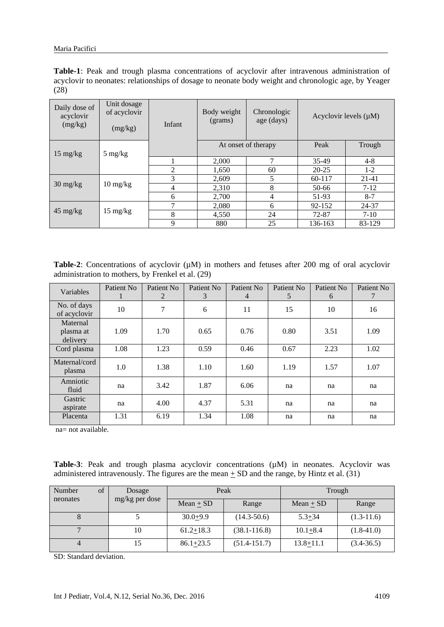|      |  |  |  |  | <b>Table-1</b> : Peak and trough plasma concentrations of acyclovir after intravenous administration of |  |
|------|--|--|--|--|---------------------------------------------------------------------------------------------------------|--|
|      |  |  |  |  | acyclovir to neonates: relationships of dosage to neonate body weight and chronologic age, by Yeager    |  |
| (28) |  |  |  |  |                                                                                                         |  |

| Daily dose of<br>acyclovir<br>(mg/kg) | Unit dosage<br>of acyclovir<br>(mg/kg) | Chronologic<br>Body weight<br>Acyclovir levels $(\mu M)$<br>age (days)<br>(grams)<br>Infant<br>Peak<br>At onset of therapy |       |                |           |           |
|---------------------------------------|----------------------------------------|----------------------------------------------------------------------------------------------------------------------------|-------|----------------|-----------|-----------|
|                                       |                                        |                                                                                                                            |       |                |           | Trough    |
| $15 \text{ mg/kg}$                    | $5 \text{ mg/kg}$                      |                                                                                                                            | 2,000 | 7              | 35-49     | $4 - 8$   |
|                                       |                                        | 2                                                                                                                          | 1,650 | 60             | $20 - 25$ | $1-2$     |
|                                       |                                        | 3                                                                                                                          | 2,609 | 5              | 60-117    | $21 - 41$ |
| $30 \frac{\text{mg}}{\text{kg}}$      | $10 \frac{\text{mg}}{\text{kg}}$       | 4                                                                                                                          | 2,310 | 8              | 50-66     | $7 - 12$  |
|                                       |                                        | 6                                                                                                                          | 2,700 | $\overline{4}$ | 51-93     | $8 - 7$   |
|                                       |                                        | $\mathcal{I}$                                                                                                              | 2,080 | 6              | 92-152    | 24-37     |
| $45 \text{ mg/kg}$                    | $15 \text{ mg/kg}$                     | 8                                                                                                                          | 4,550 | 24             | 72-87     | $7-10$    |
|                                       |                                        | 9                                                                                                                          | 880   | 25             | 136-163   | 83-129    |

Table-2: Concentrations of acyclovir ( $\mu$ M) in mothers and fetuses after 200 mg of oral acyclovir administration to mothers, by Frenkel et al. (29)

| Variables                         | Patient No. | Patient No.<br>2 | Patient No<br>3 | Patient No.<br>$\overline{4}$ | Patient No<br>5 | Patient No.<br>6 | Patient No<br>7 |
|-----------------------------------|-------------|------------------|-----------------|-------------------------------|-----------------|------------------|-----------------|
| No. of days<br>of acyclovir       | 10          | 7                | 6               | 11                            | 15              | 10               | 16              |
| Maternal<br>plasma at<br>delivery | 1.09        | 1.70             | 0.65            | 0.76                          | 0.80            | 3.51             | 1.09            |
| Cord plasma                       | 1.08        | 1.23             | 0.59            | 0.46                          | 0.67            | 2.23             | 1.02            |
| Maternal/cord<br>plasma           | 1.0         | 1.38             | 1.10            | 1.60                          | 1.19            | 1.57             | 1.07            |
| Amniotic<br>fluid                 | na          | 3.42             | 1.87            | 6.06                          | na              | na               | na              |
| Gastric<br>aspirate               | na          | 4.00             | 4.37            | 5.31                          | na              | na               | na              |
| Placenta                          | 1.31        | 6.19             | 1.34            | 1.08                          | na              | na               | na              |

na= not available.

Table-3: Peak and trough plasma acyclovir concentrations ( $\mu$ M) in neonates. Acyclovir was administered intravenously. The figures are the mean  $\pm$  SD and the range, by Hintz et al. (31)

| of<br>Number |  | Dosage         |                 | Peak             | Trough        |                |  |
|--------------|--|----------------|-----------------|------------------|---------------|----------------|--|
| neonates     |  | mg/kg per dose | Mean $\pm$ SD   | Range            | Mean $\pm$ SD | Range          |  |
|              |  |                | $30.0 + 9.9$    | $(14.3 - 50.6)$  | $5.3 + 34$    | $(1.3-11.6)$   |  |
|              |  | 10             | $61.2 \pm 18.3$ | $(38.1 - 116.8)$ | $10.1 + 8.4$  | $(1.8-41.0)$   |  |
|              |  |                | $86.1 + 23.5$   | $(51.4 - 151.7)$ | $13.8 + 11.1$ | $(3.4 - 36.5)$ |  |

SD: Standard deviation.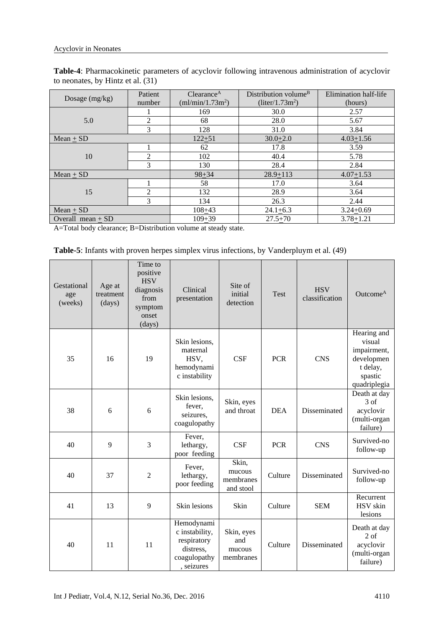| Table-4: Pharmacokinetic parameters of acyclovir following intravenous administration of acyclovir |  |  |  |
|----------------------------------------------------------------------------------------------------|--|--|--|
| to neonates, by Hintz et al. (31)                                                                  |  |  |  |

| Dosage (mg/kg)      | Patient<br>number | Clearance <sup>A</sup><br>(ml/min/1.73m <sup>2</sup> ) | Distribution volume <sup>B</sup><br>$(liter/1.73m^2)$ | Elimination half-life<br>(hours) |
|---------------------|-------------------|--------------------------------------------------------|-------------------------------------------------------|----------------------------------|
|                     |                   | 169                                                    | 30.0                                                  | 2.57                             |
| 5.0                 | 2                 | 68                                                     | 28.0                                                  | 5.67                             |
|                     | 3                 | 128                                                    | 31.0                                                  | 3.84                             |
| $Mean + SD$         |                   | $122 + 51$                                             | $30.0 + 2.0$                                          | $4.03 + 1.56$                    |
|                     |                   | 62                                                     | 17.8                                                  | 3.59                             |
| 10                  | 2                 | 102                                                    | 40.4                                                  | 5.78                             |
|                     | 3                 | 130                                                    | 28.4                                                  | 2.84                             |
| Mean $+$ SD         |                   | $98 + 34$                                              | $28.9 + 113$                                          | $4.07 + 1.53$                    |
|                     |                   | 58                                                     | 17.0                                                  | 3.64                             |
| 15                  | $\mathfrak{D}$    | 132                                                    | 28.9                                                  | 3.64                             |
|                     | 3                 | 134                                                    | 26.3                                                  | 2.44                             |
| Mean $\pm$ SD       |                   | $108 + 43$                                             | $24.1 + 6.3$                                          | $3.24 + 0.69$                    |
| Overall mean $+$ SD |                   | $109 + 39$                                             | $27.5 + 70$                                           | $3.78 + 1.21$                    |

A=Total body clearance; B=Distribution volume at steady state.

| Table-5: Infants with proven herpes simplex virus infections, by Vanderpluym et al. (49) |  |
|------------------------------------------------------------------------------------------|--|
|------------------------------------------------------------------------------------------|--|

| Gestational<br>age<br>(weeks) | Age at<br>treatment<br>(days) | Time to<br>positive<br><b>HSV</b><br>diagnosis<br>from<br>symptom<br>onset<br>(days) | Clinical<br>presentation                                                               | Site of<br>initial<br>detection           | Test       | <b>HSV</b><br>classification | Outcome <sup>A</sup>                                                                      |
|-------------------------------|-------------------------------|--------------------------------------------------------------------------------------|----------------------------------------------------------------------------------------|-------------------------------------------|------------|------------------------------|-------------------------------------------------------------------------------------------|
| 35                            | 16                            | 19                                                                                   | Skin lesions,<br>maternal<br>HSV,<br>hemodynami<br>c instability                       | <b>CSF</b>                                | <b>PCR</b> | <b>CNS</b>                   | Hearing and<br>visual<br>impairment,<br>developmen<br>t delay,<br>spastic<br>quadriplegia |
| 38                            | 6                             | 6                                                                                    | Skin lesions,<br>fever,<br>seizures,<br>coagulopathy                                   | Skin, eyes<br>and throat                  | <b>DEA</b> | Disseminated                 | Death at day<br>3 of<br>acyclovir<br>(multi-organ<br>failure)                             |
| 40                            | 9                             | 3                                                                                    | Fever,<br>lethargy,<br>poor feeding                                                    | <b>CSF</b>                                | <b>PCR</b> | <b>CNS</b>                   | Survived-no<br>follow-up                                                                  |
| 40                            | 37                            | $\overline{2}$                                                                       | Fever,<br>lethargy,<br>poor feeding                                                    | Skin,<br>mucous<br>membranes<br>and stool | Culture    | Disseminated                 | Survived-no<br>follow-up                                                                  |
| 41                            | 13                            | 9                                                                                    | Skin lesions                                                                           | Skin                                      | Culture    | <b>SEM</b>                   | Recurrent<br>HSV skin<br>lesions                                                          |
| 40                            | 11                            | 11                                                                                   | Hemodynami<br>c instability,<br>respiratory<br>distress,<br>coagulopathy<br>, seizures | Skin, eyes<br>and<br>mucous<br>membranes  | Culture    | Disseminated                 | Death at day<br>2 <sub>of</sub><br>acyclovir<br>(multi-organ<br>failure)                  |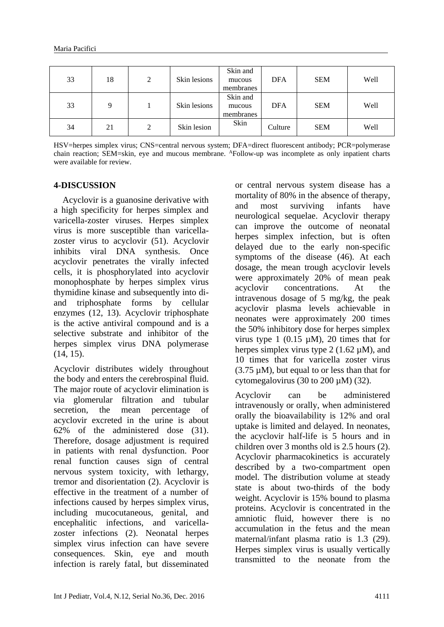| 33 | 18 | 2 | Skin lesions | Skin and<br>mucous<br>membranes | <b>DFA</b> | <b>SEM</b> | Well |
|----|----|---|--------------|---------------------------------|------------|------------|------|
| 33 | q  |   | Skin lesions | Skin and<br>mucous<br>membranes | <b>DFA</b> | <b>SEM</b> | Well |
| 34 | 21 | 2 | Skin lesion  | Skin                            | Culture    | <b>SEM</b> | Well |

HSV=herpes simplex virus; CNS=central nervous system; DFA=direct fluorescent antibody; PCR=polymerase chain reaction; SEM=skin, eye and mucous membrane. <sup>A</sup>Follow-up was incomplete as only inpatient charts were available for review.

#### **4-DISCUSSION**

 Acyclovir is a guanosine derivative with a high specificity for herpes simplex and varicella-zoster viruses. Herpes simplex virus is more susceptible than varicellazoster virus to acyclovir (51). Acyclovir inhibits viral DNA synthesis. Once acyclovir penetrates the virally infected cells, it is phosphorylated into acyclovir monophosphate by herpes simplex virus thymidine kinase and subsequently into diand triphosphate forms by cellular enzymes (12, 13). Acyclovir triphosphate is the active antiviral compound and is a selective substrate and inhibitor of the herpes simplex virus DNA polymerase (14, 15).

Acyclovir distributes widely throughout the body and enters the cerebrospinal fluid. The major route of acyclovir elimination is via glomerular filtration and tubular secretion, the mean percentage of acyclovir excreted in the urine is about 62% of the administered dose (31). Therefore, dosage adjustment is required in patients with renal dysfunction. Poor renal function causes sign of central nervous system toxicity, with lethargy, tremor and disorientation (2). Acyclovir is effective in the treatment of a number of infections caused by herpes simplex virus, including mucocutaneous, genital, and encephalitic infections, and varicellazoster infections (2). Neonatal herpes simplex virus infection can have severe consequences. Skin, eye and mouth infection is rarely fatal, but disseminated

or central nervous system disease has a mortality of 80% in the absence of therapy, and most surviving infants have neurological sequelae. Acyclovir therapy can improve the outcome of neonatal herpes simplex infection, but is often delayed due to the early non-specific symptoms of the disease (46). At each dosage, the mean trough acyclovir levels were approximately 20% of mean peak acyclovir concentrations. At the intravenous dosage of 5 mg/kg, the peak acyclovir plasma levels achievable in neonates were approximately 200 times the 50% inhibitory dose for herpes simplex virus type 1  $(0.15 \mu M)$ , 20 times that for herpes simplex virus type 2 (1.62  $\mu$ M), and 10 times that for varicella zoster virus (3.75 µM), but equal to or less than that for cytomegalovirus (30 to 200  $\mu$ M) (32).

Acyclovir can be administered intravenously or orally, when administered orally the bioavailability is 12% and oral uptake is limited and delayed. In neonates, the acyclovir half-life is 5 hours and in children over 3 months old is 2.5 hours (2). Acyclovir pharmacokinetics is accurately described by a two-compartment open model. The distribution volume at steady state is about two-thirds of the body weight. Acyclovir is 15% bound to plasma proteins. Acyclovir is concentrated in the amniotic fluid, however there is no accumulation in the fetus and the mean maternal/infant plasma ratio is 1.3 (29). Herpes simplex virus is usually vertically transmitted to the neonate from the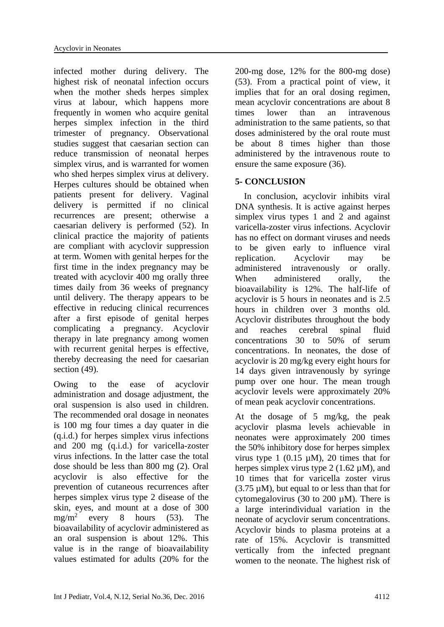infected mother during delivery. The highest risk of neonatal infection occurs when the mother sheds herpes simplex virus at labour, which happens more frequently in women who acquire genital herpes simplex infection in the third trimester of pregnancy. Observational studies suggest that caesarian section can reduce transmission of neonatal herpes simplex virus, and is warranted for women who shed herpes simplex virus at delivery. Herpes cultures should be obtained when patients present for delivery. Vaginal delivery is permitted if no clinical recurrences are present; otherwise a caesarian delivery is performed (52). In clinical practice the majority of patients are compliant with acyclovir suppression at term. Women with genital herpes for the first time in the index pregnancy may be treated with acyclovir 400 mg orally three times daily from 36 weeks of pregnancy until delivery. The therapy appears to be effective in reducing clinical recurrences after a first episode of genital herpes complicating a pregnancy. Acyclovir therapy in late pregnancy among women with recurrent genital herpes is effective, thereby decreasing the need for caesarian section (49).

Owing to the ease of acyclovir administration and dosage adjustment, the oral suspension is also used in children. The recommended oral dosage in neonates is 100 mg four times a day quater in die (q.i.d.) for herpes simplex virus infections and 200 mg (q.i.d.) for varicella-zoster virus infections. In the latter case the total dose should be less than 800 mg (2). Oral acyclovir is also effective for the prevention of cutaneous recurrences after herpes simplex virus type 2 disease of the skin, eyes, and mount at a dose of 300  $mg/m^2$ every 8 hours (53). The bioavailability of acyclovir administered as an oral suspension is about 12%. This value is in the range of bioavailability values estimated for adults (20% for the

200-mg dose, 12% for the 800-mg dose) (53). From a practical point of view, it implies that for an oral dosing regimen, mean acyclovir concentrations are about 8 times lower than an intravenous administration to the same patients, so that doses administered by the oral route must be about 8 times higher than those administered by the intravenous route to ensure the same exposure (36).

# **5- CONCLUSION**

 In conclusion, acyclovir inhibits viral DNA synthesis. It is active against herpes simplex virus types 1 and 2 and against varicella-zoster virus infections. Acyclovir has no effect on dormant viruses and needs to be given early to influence viral replication. Acyclovir may be administered intravenously or orally. When administered orally, the bioavailability is 12%. The half-life of acyclovir is 5 hours in neonates and is 2.5 hours in children over 3 months old. Acyclovir distributes throughout the body and reaches cerebral spinal fluid concentrations 30 to 50% of serum concentrations. In neonates, the dose of acyclovir is 20 mg/kg every eight hours for 14 days given intravenously by syringe pump over one hour. The mean trough acyclovir levels were approximately 20% of mean peak acyclovir concentrations.

At the dosage of 5 mg/kg, the peak acyclovir plasma levels achievable in neonates were approximately 200 times the 50% inhibitory dose for herpes simplex virus type 1 (0.15  $\mu$ M), 20 times that for herpes simplex virus type 2 (1.62  $\mu$ M), and 10 times that for varicella zoster virus (3.75 µM), but equal to or less than that for cytomegalovirus (30 to 200  $\mu$ M). There is a large interindividual variation in the neonate of acyclovir serum concentrations. Acyclovir binds to plasma proteins at a rate of 15%. Acyclovir is transmitted vertically from the infected pregnant women to the neonate. The highest risk of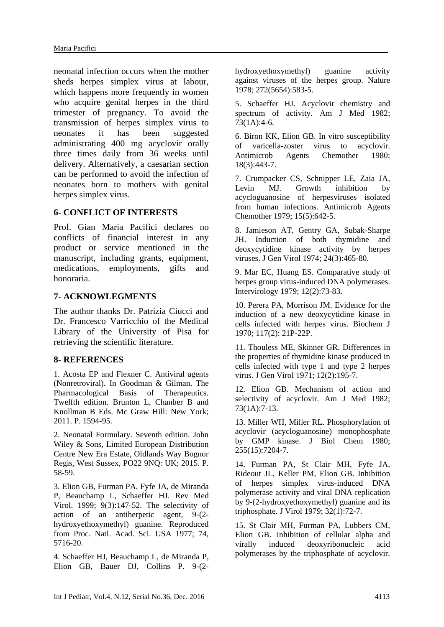neonatal infection occurs when the mother sheds herpes simplex virus at labour, which happens more frequently in women who acquire genital herpes in the third trimester of pregnancy. To avoid the transmission of herpes simplex virus to neonates it has been suggested administrating 400 mg acyclovir orally three times daily from 36 weeks until delivery. Alternatively, a caesarian section can be performed to avoid the infection of neonates born to mothers with genital herpes simplex virus.

#### **6- CONFLICT OF INTERESTS**

Prof. Gian Maria Pacifici declares no conflicts of financial interest in any product or service mentioned in the manuscript, including grants, equipment, medications, employments, gifts and honoraria.

#### **7- ACKNOWLEGMENTS**

The author thanks Dr. Patrizia Ciucci and Dr. Francesco Varricchio of the Medical Library of the University of Pisa for retrieving the scientific literature.

#### **8- REFERENCES**

1. Acosta EP and Flexner C. Antiviral agents (Nonretroviral). In Goodman & Gilman. The Pharmacological Basis of Therapeutics. Twelfth edition. Brunton L, Chanber B and Knollman B Eds. Mc Graw Hill: New York; 2011. P. 1594-95.

2. Neonatal Formulary. Seventh edition. John Wiley & Sons, Limited European Distribution Centre New Era Estate, Oldlands Way Bognor Regis, West Sussex, PO22 9NQ: UK; 2015. P. 58-59.

3. Elion GB, Furman PA, Fyfe JA, de Miranda P, Beauchamp L, Schaeffer HJ. Rev Med Virol. 1999; 9(3):147-52. [The selectivity of](http://www.ncbi.nlm.nih.gov/pubmed/10479776)  [action of an antiherpetic agent, 9-\(2](http://www.ncbi.nlm.nih.gov/pubmed/10479776) [hydroxyethoxymethyl\) guanine. Reproduced](http://www.ncbi.nlm.nih.gov/pubmed/10479776)  [from Proc. Natl. Acad. Sci. USA 1977; 74,](http://www.ncbi.nlm.nih.gov/pubmed/10479776)  [5716-20.](http://www.ncbi.nlm.nih.gov/pubmed/10479776)

4. [Schaeffer HJ,](http://www.ncbi.nlm.nih.gov/pubmed/?term=Schaeffer%20HJ%5BAuthor%5D&cauthor=true&cauthor_uid=205792) [Beauchamp L,](http://www.ncbi.nlm.nih.gov/pubmed/?term=Beauchamp%20L%5BAuthor%5D&cauthor=true&cauthor_uid=205792) [de Miranda P,](http://www.ncbi.nlm.nih.gov/pubmed/?term=de%20Miranda%20P%5BAuthor%5D&cauthor=true&cauthor_uid=205792) [Elion GB,](http://www.ncbi.nlm.nih.gov/pubmed/?term=Elion%20GB%5BAuthor%5D&cauthor=true&cauthor_uid=205792) [Bauer DJ,](http://www.ncbi.nlm.nih.gov/pubmed/?term=Bauer%20DJ%5BAuthor%5D&cauthor=true&cauthor_uid=205792) [Collins P.](http://www.ncbi.nlm.nih.gov/pubmed/?term=Collins%20P%5BAuthor%5D&cauthor=true&cauthor_uid=205792) 9-(2hydroxyethoxymethyl) guanine activity against viruses of the herpes group. [Nature](http://www.ncbi.nlm.nih.gov/pubmed/?term=schaeffer+hj+1978) 1978; 272(5654):583-5.

5. Schaeffer HJ. [Acyclovir chemistry and](http://www.ncbi.nlm.nih.gov/pubmed/6285730)  [spectrum of activity.](http://www.ncbi.nlm.nih.gov/pubmed/6285730) Am J Med 1982; 73(1A):4-6.

6. [Biron KK,](http://www.ncbi.nlm.nih.gov/pubmed/?term=Biron%20KK%5BAuthor%5D&cauthor=true&cauthor_uid=6252836) [Elion GB.](http://www.ncbi.nlm.nih.gov/pubmed/?term=Elion%20GB%5BAuthor%5D&cauthor=true&cauthor_uid=6252836) In vitro susceptibility of varicella-zoster virus to acyclovir. [Antimicrob Agents Chemother](http://www.ncbi.nlm.nih.gov/pubmed/?term=biron+kk%2C+elion+gb+1980) 1980; 18(3):443-7.

7. Crumpacker CS, Schnipper LE, Zaia JA, Levin MJ. [Growth inhibition by](http://www.ncbi.nlm.nih.gov/pubmed/230783) [acycloguanosine of herpesviruses isolated](http://www.ncbi.nlm.nih.gov/pubmed/230783)  [from human infections.](http://www.ncbi.nlm.nih.gov/pubmed/230783) Antimicrob Agents Chemother 1979; 15(5):642-5.

8. Jamieson AT, Gentry GA, Subak-Sharpe JH. [Induction of both thymidine and](http://www.ncbi.nlm.nih.gov/pubmed/4372299)  [deoxycytidine kinase activity by herpes](http://www.ncbi.nlm.nih.gov/pubmed/4372299)  [viruses.](http://www.ncbi.nlm.nih.gov/pubmed/4372299) J Gen Virol 1974; 24(3):465-80.

9. [Mar EC,](http://www.ncbi.nlm.nih.gov/pubmed/?term=Mar%20EC%5BAuthor%5D&cauthor=true&cauthor_uid=231586) [Huang ES.](http://www.ncbi.nlm.nih.gov/pubmed/?term=Huang%20ES%5BAuthor%5D&cauthor=true&cauthor_uid=231586) Comparative study of herpes group virus-induced DNA polymerases. [Intervirology](http://www.ncbi.nlm.nih.gov/pubmed/?term=Mar+ec+and+Huang+es+1979) 1979; 12(2):73-83.

10. [Perera PA,](http://www.ncbi.nlm.nih.gov/pubmed/?term=Perera%20PA%5BAuthor%5D&cauthor=true&cauthor_uid=4315978) [Morrison JM.](http://www.ncbi.nlm.nih.gov/pubmed/?term=Morrison%20JM%5BAuthor%5D&cauthor=true&cauthor_uid=4315978) Evidence for the induction of a new deoxycytidine kinase in cells infected with herpes virus. [Biochem J](http://www.ncbi.nlm.nih.gov/pubmed/?term=Perera+and+Morrison+1970) 1970; 117(2): 21P-22P.

11. Thouless ME, Skinner GR. [Differences in](http://www.ncbi.nlm.nih.gov/pubmed/4330792)  [the properties of thymidine kinase produced in](http://www.ncbi.nlm.nih.gov/pubmed/4330792)  [cells infected with type 1 and type 2 herpes](http://www.ncbi.nlm.nih.gov/pubmed/4330792)  [virus.](http://www.ncbi.nlm.nih.gov/pubmed/4330792) J Gen Virol 1971; 12(2):195-7.

12. Elion GB. [Mechanism of action and](http://www.ncbi.nlm.nih.gov/pubmed/6285736)  [selectivity of acyclovir.](http://www.ncbi.nlm.nih.gov/pubmed/6285736) Am J Med 1982; 73(1A):7-13.

13. [Miller WH,](http://www.ncbi.nlm.nih.gov/pubmed/?term=Miller%20WH%5BAuthor%5D&cauthor=true&cauthor_uid=6248551) [Miller RL.](http://www.ncbi.nlm.nih.gov/pubmed/?term=Miller%20RL%5BAuthor%5D&cauthor=true&cauthor_uid=6248551) Phosphorylation of acyclovir (acycloguanosine) monophosphate by GMP kinase. [J Biol Chem](http://www.ncbi.nlm.nih.gov/pubmed/?term=miller+wh%2C+miller+rl+1980) 1980; 255(15):7204-7.

14. [Furman PA,](http://www.ncbi.nlm.nih.gov/pubmed/?term=Furman%20PA%5BAuthor%5D&cauthor=true&cauthor_uid=232189) [St Clair MH,](http://www.ncbi.nlm.nih.gov/pubmed/?term=St%20Clair%20MH%5BAuthor%5D&cauthor=true&cauthor_uid=232189) [Fyfe JA,](http://www.ncbi.nlm.nih.gov/pubmed/?term=Fyfe%20JA%5BAuthor%5D&cauthor=true&cauthor_uid=232189) [Rideout JL,](http://www.ncbi.nlm.nih.gov/pubmed/?term=Rideout%20JL%5BAuthor%5D&cauthor=true&cauthor_uid=232189) [Keller PM,](http://www.ncbi.nlm.nih.gov/pubmed/?term=Keller%20PM%5BAuthor%5D&cauthor=true&cauthor_uid=232189) [Elion GB.](http://www.ncbi.nlm.nih.gov/pubmed/?term=Elion%20GB%5BAuthor%5D&cauthor=true&cauthor_uid=232189) Inhibition of herpes simplex virus-induced DNA polymerase activity and viral DNA replication by 9-(2-hydroxyethoxymethyl) guanine and its triphosphate. [J Virol](http://www.ncbi.nlm.nih.gov/pubmed/?term=Furman+pa+1979) 1979; 32(1):72-7.

15. [St Clair MH,](http://www.ncbi.nlm.nih.gov/pubmed/?term=St%20Clair%20MH%5BAuthor%5D&cauthor=true&cauthor_uid=7192534) [Furman PA,](http://www.ncbi.nlm.nih.gov/pubmed/?term=Furman%20PA%5BAuthor%5D&cauthor=true&cauthor_uid=7192534) [Lubbers CM,](http://www.ncbi.nlm.nih.gov/pubmed/?term=Lubbers%20CM%5BAuthor%5D&cauthor=true&cauthor_uid=7192534) [Elion GB.](http://www.ncbi.nlm.nih.gov/pubmed/?term=Elion%20GB%5BAuthor%5D&cauthor=true&cauthor_uid=7192534) Inhibition of cellular alpha and virally induced deoxyribonucleic acid polymerases by the triphosphate of acyclovir.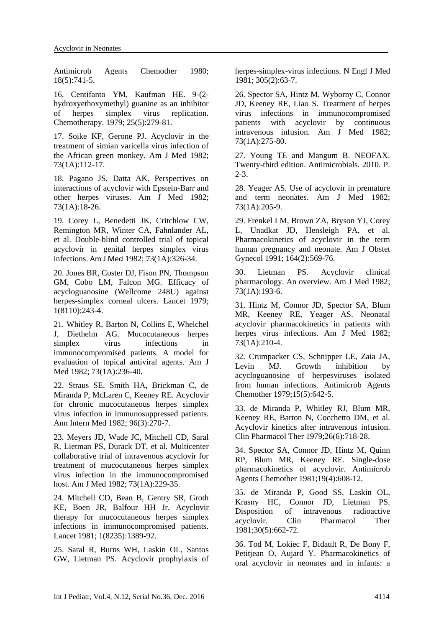[Antimicrob Agents Chemother](http://www.ncbi.nlm.nih.gov/pubmed/?term=st+claire+mh+1980) 1980; 18(5):741-5.

16. [Centifanto YM,](http://www.ncbi.nlm.nih.gov/pubmed/?term=Centifanto%20YM%5BAuthor%5D&cauthor=true&cauthor_uid=225135) [Kaufman HE.](http://www.ncbi.nlm.nih.gov/pubmed/?term=Kaufman%20HE%5BAuthor%5D&cauthor=true&cauthor_uid=225135) 9-(2 hydroxyethoxymethyl) guanine as an inhibitor of herpes simplex virus replication. [Chemotherapy.](http://www.ncbi.nlm.nih.gov/pubmed/?term=Centifano+and+Kaufman+1979) 1979; 25(5):279-81.

17. [Soike KF,](http://www.ncbi.nlm.nih.gov/pubmed/?term=Soike%20KF%5BAuthor%5D&cauthor=true&cauthor_uid=6285700) [Gerone PJ.](http://www.ncbi.nlm.nih.gov/pubmed/?term=Gerone%20PJ%5BAuthor%5D&cauthor=true&cauthor_uid=6285700) Acyclovir in the treatment of simian varicella virus infection of the African green monkey. [Am J Med](http://www.ncbi.nlm.nih.gov/pubmed/?term=soike+and+gerone+1982) 1982; 73(1A):112-17.

18. Pagano JS, Datta AK. [Perspectives on](http://www.ncbi.nlm.nih.gov/pubmed/6285710)  [interactions of acyclovir with Epstein-Barr and](http://www.ncbi.nlm.nih.gov/pubmed/6285710)  [other herpes viruses.](http://www.ncbi.nlm.nih.gov/pubmed/6285710) Am J Med 1982; 73(1A):18-26.

19. Corey L, Benedetti JK, Critchlow CW, Remington MR, Winter CA, Fahnlander AL, et al. [Double-blind controlled trial of topical](http://www.ncbi.nlm.nih.gov/pubmed/7048919)  [acyclovir in genital herpes simplex virus](http://www.ncbi.nlm.nih.gov/pubmed/7048919)  [infections.](http://www.ncbi.nlm.nih.gov/pubmed/7048919) Am J Med 1982; 73(1A):326-34.

20. Jones BR, Coster DJ, Fison PN, Thompson GM, Cobo LM, Falcon MG. [Efficacy of](http://www.ncbi.nlm.nih.gov/pubmed/84900)  [acycloguanosine \(Wellcome 248U\) against](http://www.ncbi.nlm.nih.gov/pubmed/84900)  [herpes-simplex corneal ulcers.](http://www.ncbi.nlm.nih.gov/pubmed/84900) Lancet 1979; 1(8110):243-4.

21. Whitley R, Barton N, Collins E, Whelchel J, Diethelm AG. [Mucocutaneous herpes](http://www.ncbi.nlm.nih.gov/pubmed/7048915)  simplex virus infections in [immunocompromised patients. A model for](http://www.ncbi.nlm.nih.gov/pubmed/7048915)  [evaluation of topical antiviral](http://www.ncbi.nlm.nih.gov/pubmed/7048915) agents. Am J Med 1982; 73(1A):236-40.

22. Straus SE, Smith HA, Brickman C, de Miranda P, McLaren C, Keeney RE. [Acyclovir](http://www.ncbi.nlm.nih.gov/pubmed/7059087)  [for chronic mucocutaneous herpes simplex](http://www.ncbi.nlm.nih.gov/pubmed/7059087)  [virus infection in immunosuppressed patients.](http://www.ncbi.nlm.nih.gov/pubmed/7059087) Ann Intern Med 1982; 96(3):270-7.

23. Meyers JD, Wade JC, Mitchell CD, Saral R, Lietman PS, Durack DT, et al. [Multicenter](http://www.ncbi.nlm.nih.gov/pubmed/7048914)  [collaborative trial of intravenous acyclovir for](http://www.ncbi.nlm.nih.gov/pubmed/7048914)  [treatment of mucocutaneous herpes simplex](http://www.ncbi.nlm.nih.gov/pubmed/7048914)  [virus infection in the immunocompromised](http://www.ncbi.nlm.nih.gov/pubmed/7048914)  [host.](http://www.ncbi.nlm.nih.gov/pubmed/7048914) Am J Med 1982; 73(1A):229-35.

24. Mitchell CD, Bean B, Gentry SR, Groth KE, Boen JR, Balfour HH Jr. [Acyclovir](http://www.ncbi.nlm.nih.gov/pubmed/6113352)  [therapy for mucocutaneous herpes simplex](http://www.ncbi.nlm.nih.gov/pubmed/6113352)  [infections in immunocompromised patients.](http://www.ncbi.nlm.nih.gov/pubmed/6113352) Lancet 1981; 1(8235):1389-92.

25. Saral R, Burns WH, Laskin OL, Santos GW, Lietman PS. [Acyclovir prophylaxis of](http://www.ncbi.nlm.nih.gov/pubmed/6264292)  [herpes-simplex-virus infections.](http://www.ncbi.nlm.nih.gov/pubmed/6264292) N Engl J Med 1981; 305(2):63-7.

26. Spector SA, Hintz M, Wyborny C, Connor JD, Keeney RE, Liao S. [Treatment of herpes](http://www.ncbi.nlm.nih.gov/pubmed/6285719)  [virus infections in immunocompromised](http://www.ncbi.nlm.nih.gov/pubmed/6285719)  [patients with acyclovir by continuous](http://www.ncbi.nlm.nih.gov/pubmed/6285719)  [intravenous infusion.](http://www.ncbi.nlm.nih.gov/pubmed/6285719) Am J Med 1982; 73(1A):275-80.

27. Young TE and Mangum B. NEOFAX. Twenty-third edition. Antimicrobials. 2010. P. 2-3.

28. Yeager AS. [Use of acyclovir](http://www.ncbi.nlm.nih.gov/pubmed/6285712) in premature [and term](http://www.ncbi.nlm.nih.gov/pubmed/6285712) neonates. Am J Med 1982; 73(1A):205-9.

29. Frenkel LM, Brown ZA, Bryson YJ, Corey L, Unadkat JD, Hensleigh PA, et al. [Pharmacokinetics of acyclovir in the term](http://www.ncbi.nlm.nih.gov/pubmed/1847004)  [human pregnancy and neonate.](http://www.ncbi.nlm.nih.gov/pubmed/1847004) Am J Obstet Gynecol 1991; 164(2):569-76.

30. Lietman PS. [Acyclovir clinical](http://www.ncbi.nlm.nih.gov/pubmed/7048912)  [pharmacology. An overview.](http://www.ncbi.nlm.nih.gov/pubmed/7048912) Am J Med 1982; 73(1A):193-6.

31. Hintz M, Connor JD, Spector SA, Blum MR, Keeney RE, Yeager AS. [Neonatal](http://www.ncbi.nlm.nih.gov/pubmed/6285713)  [acyclovir pharmacokinetics in patients with](http://www.ncbi.nlm.nih.gov/pubmed/6285713)  [herpes virus infections.](http://www.ncbi.nlm.nih.gov/pubmed/6285713) Am J Med 1982; 73(1A):210-4.

32. Crumpacker CS, Schnipper LE, Zaia JA, Levin MJ. Growth inhibition by [acycloguanosine of herpesviruses isolated](https://www.ncbi.nlm.nih.gov/pubmed/230783)  [from human infections.](https://www.ncbi.nlm.nih.gov/pubmed/230783) Antimicrob Agents Chemother 1979;15(5):642-5.

33. de Miranda P, Whitley RJ, Blum MR, Keeney RE, Barton N, Cocchetto DM, et al. [Acyclovir kinetics after intravenous infusion.](https://www.ncbi.nlm.nih.gov/pubmed/227639) Clin Pharmacol Ther 1979;26(6):718-28.

34. Spector SA, Connor JD, Hintz M, Quinn RP, Blum MR, Keeney RE. [Single-dose](https://www.ncbi.nlm.nih.gov/pubmed/7247383)  [pharmacokinetics of acyclovir.](https://www.ncbi.nlm.nih.gov/pubmed/7247383) Antimicrob Agents Chemother 1981;19(4):608-12.

35. de Miranda P, Good SS, Laskin OL, Krasny HC, Connor JD, Lietman PS. [Disposition of intravenous radioactive](https://www.ncbi.nlm.nih.gov/pubmed/7297024)  [acyclovir.](https://www.ncbi.nlm.nih.gov/pubmed/7297024) Clin Pharmacol Ther 1981;30(5):662-72.

36. Tod M, Lokiec F, Bidault R, De Bony F, Petitjean O, Aujard Y. [Pharmacokinetics of](http://www.ncbi.nlm.nih.gov/pubmed/11120958)  [oral acyclovir in neonates and in infants: a](http://www.ncbi.nlm.nih.gov/pubmed/11120958)